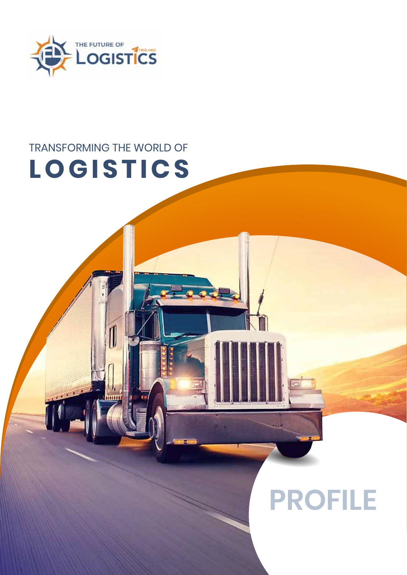

# TRANSFORMING THE WORLD OF **LOGISTICS**

# **PROFILE**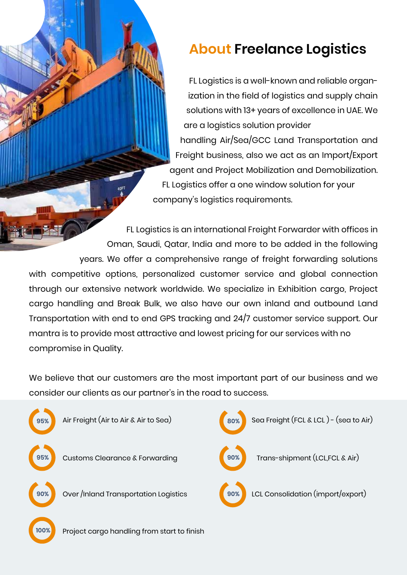## **About Freelance Logistics**

FL Logistics is a well-known and reliable organization in the field of logistics and supply chain solutions with 13+ years of excellence in UAE. We are a logistics solution provider handling Air/Sea/GCC Land Transportation and Freight business, also we act as an Import/Export agent and Project Mobilization and Demobilization. FL Logistics offer a one window solution for your company's logistics requirements.

FL Logistics is an international Freight Forwarder with offices in Oman, Saudi, Qatar, India and more to be added in the following years. We offer a comprehensive range of freight forwarding solutions with competitive options, personalized customer service and global connection through our extensive network worldwide. We specialize in Exhibition cargo, Project cargo handling and Break Bulk, we also have our own inland and outbound Land Transportation with end to end GPS tracking and 24/7 customer service support. Our mantra is to provide most attractive and lowest pricing for our services with no compromise in Quality.

We believe that our customers are the most important part of our business and we consider our clients as our partner's in the road to success.

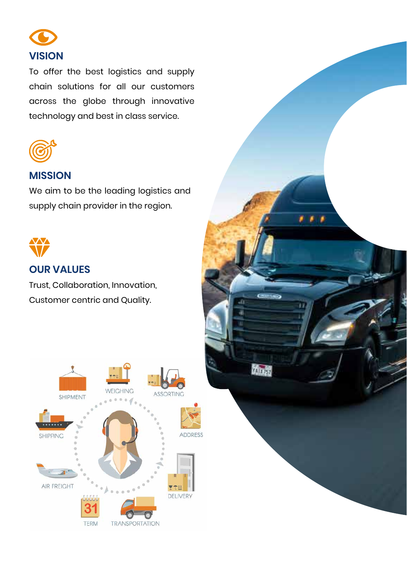

To offer the best logistics and supply chain solutions for all our customers across the globe through innovative technology and best in class service.



### **MISSION**

We aim to be the leading logistics and supply chain provider in the region.



### **OUR VALUES**

Trust, Collaboration, Innovation, Customer centric and Quality.



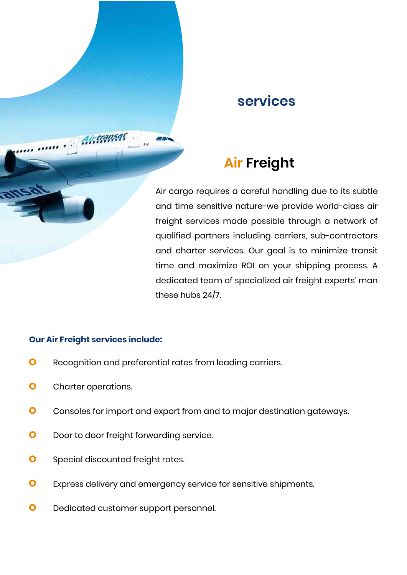### **services**

# **Air Freight**

Air cargo requires a careful handling due to its subtle and time sensitive nature-we provide world-class air freight services made possible through a network of qualified partners including carriers, sub-contractors and charter services. Our goal is to minimize transit time and maximize ROI on your shipping process. A dedicated team of specialized air freight experts' man these hubs 24/7.

#### **Our Air Freight services include:**

Aistransas

- $\bullet$ Recognition and preferential rates from leading carriers.
- $\bullet$ Charter operations.
- $\bullet$ Consoles for import and export from and to major destination gateways.
- $\bullet$ Door to door freight forwarding service.
- $\bullet$ Special discounted freight rates.
- $\bullet$ Express delivery and emergency service for sensitive shipments.
- $\bullet$ Dedicated customer support personnel.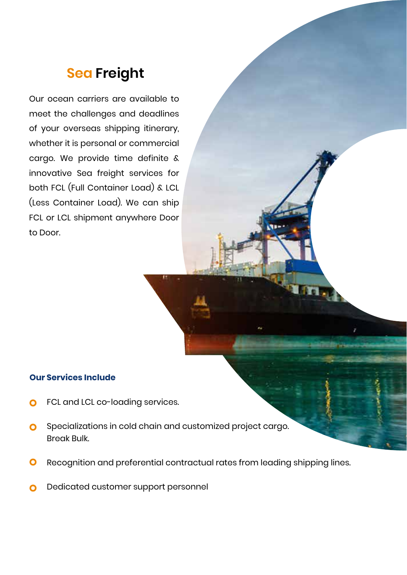# **Sea Freight**

Our ocean carriers are available to meet the challenges and deadlines of your overseas shipping itinerary, whether it is personal or commercial cargo. We provide time definite & innovative Sea freight services for both FCL (Full Container Load) & LCL (Less Container Load). We can ship FCL or LCL shipment anywhere Door to Door.

#### **Our Services Include**

- FCL and LCL co-loading services. O
- Specializations in cold chain and customized project cargo.  $\overline{O}$ Break Bulk.
- Recognition and preferential contractual rates from leading shipping lines.  $\mathbf O$
- Dedicated customer support personnel  $\mathbf O$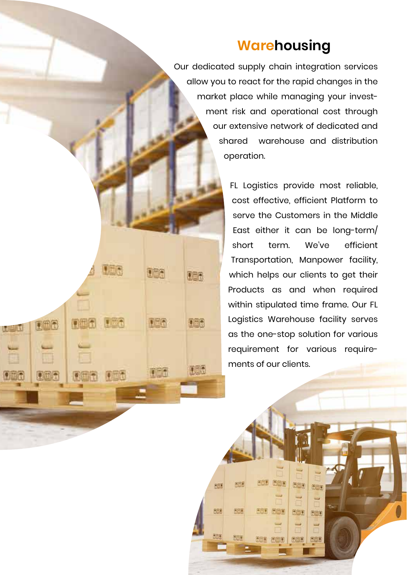### **Warehousing**

Our dedicated supply chain integration services allow you to react for the rapid changes in the market place while managing your investment risk and operational cost through our extensive network of dedicated and shared warehouse and distribution operation.

> FL Logistics provide most reliable, cost effective, efficient Platform to serve the Customers in the Middle East either it can be long-term/ short term. We've efficient Transportation, Manpower facility, which helps our clients to get their Products as and when required within stipulated time frame. Our FL Logistics Warehouse facility serves as the one-stop solution for various requirement for various requirements of our clients.

> > **JULI DED**

6週1 6回1

西西里 序面簿

 $E = 0$ 

سا

闭面图

行回道

团面

历面

行画面

m

伤困难

形成

題

137

u k

**TEA** 

**LLET** 

D

Dinia

أتترافيها

006

186

ras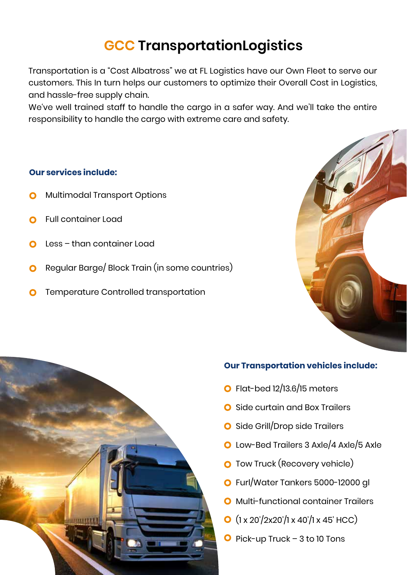# **GCC TransportationLogistics**

Transportation is a "Cost Albatross" we at FL Logistics have our Own Fleet to serve our customers. This In turn helps our customers to optimize their Overall Cost in Logistics, and hassle-free supply chain.

We've well trained staff to handle the cargo in a safer way. And we'll take the entire responsibility to handle the cargo with extreme care and safety.

#### **Our services include:**

- Multimodal Transport Options
- Full container Load
- Less than container Load
- Regular Barge/ Block Train (in some countries)  $\Omega$
- Temperature Controlled transportation





#### **Our Transportation vehicles include:**

- $\bullet$  Flat-bed 12/13.6/15 meters
- Side curtain and Box Trailers
- **O** Side Grill/Drop side Trailers
- O Low-Bed Trailers 3 Axle/4 Axle/5 Axle
- **O** Tow Truck (Recovery vehicle)
- Furl/Water Tankers 5000-12000 gl
- **O** Multi-functional container Trailers
- $\bullet$  (1 x 20'/2x20'/1 x 40'/1 x 45' HCC)
- $\bullet$  Pick-up Truck 3 to 10 Tons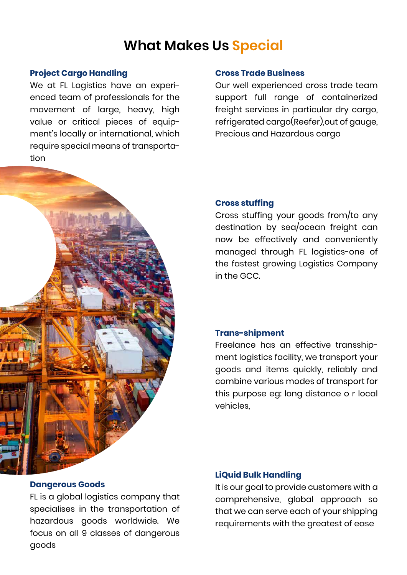### **What Makes Us Special**

#### **Project Cargo Handling**

We at FL Logistics have an experienced team of professionals for the movement of large, heavy, high value or critical pieces of equipment's locally or international, which require special means of transportation



Our well experienced cross trade team support full range of containerized freight services in particular dry cargo, refrigerated cargo(Reefer),out of gauge, Precious and Hazardous cargo



#### **Cross stuffing**

Cross stuffing your goods from/to any destination by sea/ocean freight can now be effectively and conveniently managed through FL logistics-one of the fastest growing Logistics Company in the GCC.

#### **Trans-shipment**

Freelance has an effective transshipment logistics facility, we transport your goods and items quickly, reliably and combine various modes of transport for this purpose eg: long distance o r local vehicles,

#### **Dangerous Goods**

FL is a global logistics company that specialises in the transportation of hazardous goods worldwide. We focus on all 9 classes of dangerous goods

#### **LiQuid Bulk Handling**

It is our goal to provide customers with a comprehensive, global approach so that we can serve each of your shipping requirements with the greatest of ease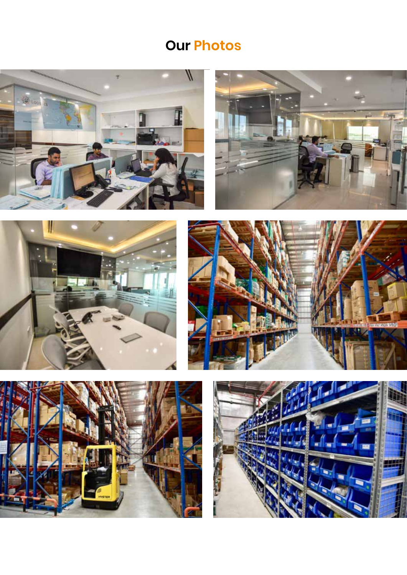# **Our Photos**









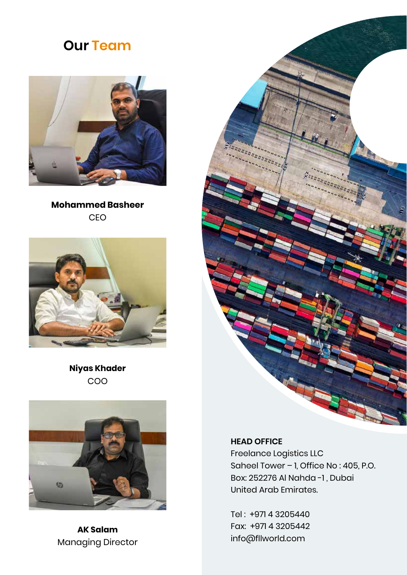### **Our Team**



### **Mohammed Basheer** CEO



### **Niyas Khader** COO



**AK Salam** Managing Director



### **HEAD OFFICE**

Freelance Logistics LLC Saheel Tower – 1, Office No : 405, P.O. Box: 252276 Al Nahda -1 , Dubai United Arab Emirates.

Tel : +971 4 3205440 Fax: +971 4 3205442 info@fllworld.com